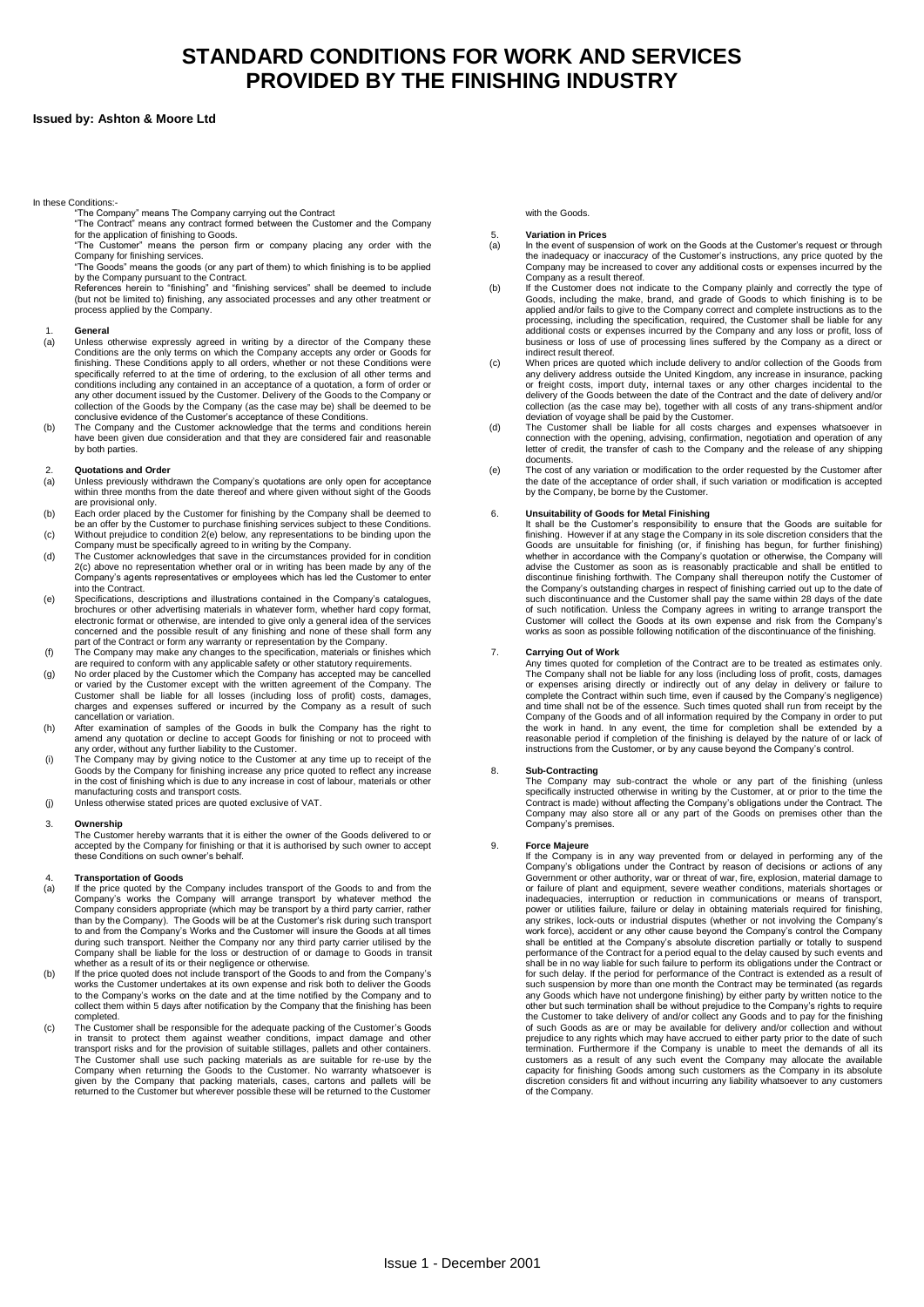# **STANDARD CONDITIONS FOR WORK AND SERVICES PROVIDED BY THE FINISHING INDUSTRY**

# **Issued by: Ashton & Moore Ltd**

### In these Conditions:-

"The Company" means The Company carrying out the Contract "The Contract" means any contract formed between the Customer and the Company

for the application of finishing to Goods. "The Customer" means the person firm or company placing any order with the

Company for finishing services. "The Goods" means the goods (or any part of them) to which finishing is to be applied

by the Company pursuant to the Contract.<br>References herein to "finishing" and "finishing services" shall be deemed to include<br>(but not be limited to) finishing, any associated processes and any other treatment or process applied by the Company.

### 1. **General**

- (a) Unless otherwise expressly agreed in writing by a director of the Company these Conditions are the only terms on which the Company accepts any order or Goods for finishing. These Conditions apply to all orders, whether or not these Conditions were specifically referred to at the time of ordering, to the exclusion of all other terms and conditions including any contained in an acceptance of a quotation, a form of order or<br>any other document issued by the Customer. Delivery of the Goods to the Company or<br>collection of the Goods by the Company (as the case
- $(b)$ conclusive evidence of the Customer's acceptance of these Conditions. The Company and the Customer acknowledge that the terms and conditions herein have been given due consideration and that they are considered fair and reasonable by both parties.

# **Quotations and Order**

- 2. (a) Unless previously withdrawn the Company's quotations are only open for acceptance within three months from the date thereof and where given without sight of the Goods are provisional only.
- (b) Each order placed by the Customer for finishing by the Company shall be deemed to be an offer by the Customer to purchase finishing services subject to these Conditions.
- $(c)$ Without prejudice to condition 2(e) below, any representations to be binding upon the Company must be specifically agreed to in writing by the Company.
- (d) The Customer acknowledges that save in the circumstances provided for in condition 2(c) above no representation whether oral or in writing has been made by any of the Company's agents representatives or employees which has led the Customer to enter into the Contract.
- (e) Specifications, descriptions and illustrations contained in the Company's catalogues, brochures or other advertising materials in whatever form, whether hard copy format, electronic format or otherwise, are intended to give only a general idea of the services concerned and the possible result of any finishing and none of these shall form any
- (f) part of the Contract or form any warranty or representation by the Company. The Company may make any changes to the specification, materials or finishes which
- (g) are required to conform with any applicable safety or other statutory requirements.<br>No order placed by the Customer which the Company has accepted may be cancelled<br>or varied by the Customer except with the written agreemen charges and expenses suffered or incurred by the Company as a result of such cancellation or variation.
- (h) After examination of samples of the Goods in bulk the Company has the right to amend any quotation or decline to accept Goods for finishing or not to proceed with any order, without any further liability to the Customer.
- (i) The Company may by giving notice to the Customer at any time up to receipt of the<br>Goods by the Company for finishing increase any price quoted to reflect any increase<br>in the cost of finishing which is due to any increase i manufacturing costs and transport costs.
- (j) Unless otherwise stated prices are quoted exclusive of VAT.

### 3. **Ownership**

The Customer hereby warrants that it is either the owner of the Goods delivered to or accepted by the Company for finishing or that it is authorised by such owner to accepted by the Company for finishing or that it is authorised by such owner to accept these Conditions on such owner's behalf.

### 4. **Transportation of Goods**

- (a) If the price quoted by the Company includes transport of the Goods to and from the Company's works the Company will arrange transport by whatever method the<br>Company considers appropriate (which may be transport by a third party carrier, rather<br>than by the Company). The Goods will be at the Customer's ris to and from the Company's Works and the Customer will insure the Goods at all times during such transport. Neither the Company nor any third party carrier utilised by the Company shall be liable for the loss or destruction of or damage to Goods in transit whether as a result of its or their negligence or otherwise.
- (b) If the price quoted does not include transport of the Goods to and from the Company's works the Customer undertakes at its own expense and risk both to deliver the Goods to the Company's works on the date and at the time notified by the Company and to collect them within 5 days after notification by the Company that the finishing has been completed.
- (c) The Customer shall be responsible for the adequate packing of the Customer's Goods in transit to protect them against weather conditions, impact damage and other<br>transport risks and for the provision of suitable stillages, pallets and other containers.<br>The Customer shall use such packing materials as are Company when returning the Goods to the Customer. No warranty whatsoever is given by the Company that packing materials, cases, cartons and pallets will be returned to the Customer but wherever possible these will be returned to the Customer

# with the Goods

### 5. **Variation in Prices**

- (a) In the event of suspension of work on the Goods at the Customer's request or through the inadequacy or inaccuracy of the Customer's instructions, any price quoted by the Company may be increased to cover any additional costs or expenses incurred by the Company as a result thereof.
- (b) If the Customer does not indicate to the Company plainly and correctly the type of<br>Goods, including the make, brand, and grade of Goods to which finishing is to be<br>applied and/or fails to give to the Company correct and co processing, including the specification, required, the Customer shall be liable for any additional costs or expenses incurred by the Company and any loss or profit, loss of business or loss of use of processing lines suffered by the Company as a direct or indirect result thereof.
- $(c)$ When prices are quoted which include delivery to and/or collection of the Goods from any delivery address outside the United Kingdom, any increase in insurance, packing or freight costs, import duty, internal taxes or any other charges incidental to the delivery of the Goods between the date of the Contract and the date of delivery and/or collection (as the case may be), together with all costs of any trans-shipment and/or
- (d) deviation of voyage shall be paid by the Customer. The Customer shall be liable for all costs charges and expenses whatsoever in connection with the opening, advising, confirmation, negotiation and operation of any letter of credit, the transfer of cash to the Company and the release of any shipping documents.
- (e) The cost of any variation or modification to the order requested by the Customer after the date of the acceptance of order shall, if such variation or modification is accepted by the Company, be borne by the Customer.

## 6.

**Unsuitability of Goods for Metal Finishing** It shall be the Customer's responsibility to ensure that the Goods are suitable for finishing. However if at any stage the Company in its sole discretion considers that the Goods are unsuitable for finishing (or, if finishing has begun, for further finishing) whether in accordance with the Company's quota discontinue finishing forthwith. The Company shall thereupon notify the Customer of the Company's outstanding charges in respect of finishing carried out up to the date of such discontinuance and the Customer shall pay the same within 28 days of the date of such notification. Unless the Company agrees in writing to arrange transport the Customer will collect the Goods at its own expense and risk from the Company's works as soon as possible following notification of the discontinuance of the finishing.

### 7. **Carrying Out of Work**

Any times quoted for completion of the Contract are to be treated as estimates only. The Company shall not be liable for any loss (including loss of profit, costs, damages or expenses arising directly or indirectly out of any delay in delivery or failure to complete the Contract within such time, even if caused by the Company's negligence) and time shall not be of the essence. Such times quoted shall run from receipt by the Company of the Goods and of all information required by the Company in order to put the work in hand. In any event, the time for completion shall be extended by a reasonable period if completion of the finishing is delayed by the nature of or lack of instructions from the Customer, or by any cause beyond the Company's control.

### 8. **Sub-Contracting**

The Company may sub-contract the whole or any part of the finishing (unless specifically instructed otherwise in writing by the Customer, at or prior to the time the Contract is made) without affecting the Company's obligations under the Contract. The Company may also store all or any part of the Goods on premises other than the Company's premises.

### 9. **Force Majeure**

If the Company is in any way prevented from or delayed in performing any of the<br>Company's obligations under the Contract by reason of decisions or actions of any<br>Government or other authority, war or threat of war, fire, e or failure of plant and equipment, severe weather conditions, materials shortages or inadequacies, interruption or reduction in communications or means of transport, power or utilities failure, failure or delay in obtaining materials required for finishing, any strikes, lock-outs or industrial disputes (whether or not involving the Company's work force), accident or any other cause beyond the Company's control the Company shall be entitled at the Company's absolute discretion partially or totally to suspend performance of the Contract for a period equal to the delay caused by such events and shall be in no way liable for such failure to perform its obligations under the Contract or for such delay. If the period for performance of the Contract is extended as a result of such suspension by more than one month the Contract may be terminated (as regards any Goods which have not undergone finishing) by either party by written notice to the other but such termination shall be without prejudice to the Company's rights to require the Customer to take delivery of and/or collect any Goods and to pay for the finishing of such Goods as are or may be available for delivery and/or collection and without prejudice to any rights which may have accrued to either party prior to the date of such<br>termination. Furthermore if the Company is unable to meet the demands of all its<br>customers as a result of any such event the Company capacity for finishing Goods among such customers as the Company in its absolute discretion considers fit and without incurring any liability whatsoever to any customers of the Company.